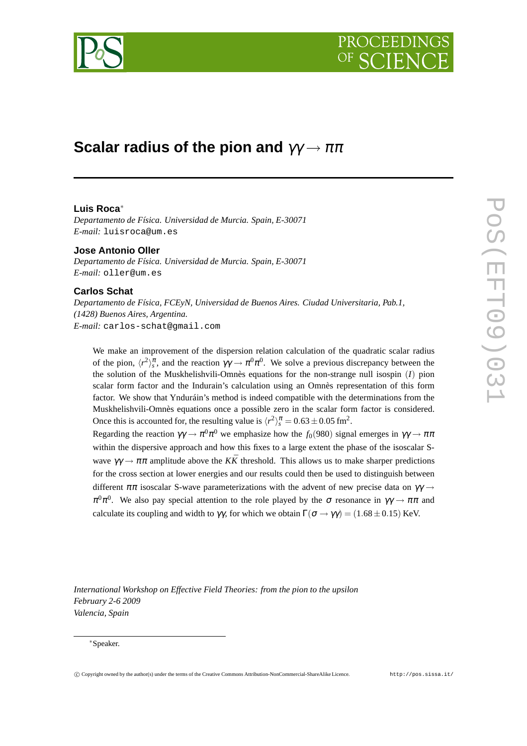



# **Scalar radius of the pion and** γγ → ππ

# **Luis Roca**∗

*Departamento de Física. Universidad de Murcia. Spain, E-30071 E-mail:* luisroca@um.es

**Jose Antonio Oller** *Departamento de Física. Universidad de Murcia. Spain, E-30071 E-mail:* oller@um.es

# **Carlos Schat**

*Departamento de Física, FCEyN, Universidad de Buenos Aires. Ciudad Universitaria, Pab.1, (1428) Buenos Aires, Argentina. E-mail:* carlos-schat@gmail.com

We make an improvement of the dispersion relation calculation of the quadratic scalar radius of the pion,  $\langle r^2 \rangle_s^{\pi}$ , and the reaction  $\gamma \gamma \to \pi^0 \pi^0$ . We solve a previous discrepancy between the the solution of the Muskhelishvili-Omnès equations for the non-strange null isospin (*I*) pion scalar form factor and the Indurain's calculation using an Omnès representation of this form factor. We show that Ynduráin's method is indeed compatible with the determinations from the Muskhelishvili-Omnès equations once a possible zero in the scalar form factor is considered. Once this is accounted for, the resulting value is  $\langle r^2 \rangle_s^{\pi} = 0.63 \pm 0.05$  fm<sup>2</sup>.

Regarding the reaction  $\gamma\gamma \to \pi^0 \pi^0$  we emphasize how the  $f_0(980)$  signal emerges in  $\gamma\gamma \to \pi\pi$ within the dispersive approach and how this fixes to a large extent the phase of the isoscalar Swave  $\gamma \gamma \to \pi \pi$  amplitude above the *KR*<sup> $\bar{K}$ </sup> threshold. This allows us to make sharper predictions for the cross section at lower energies and our results could then be used to distinguish between different  $\pi\pi$  isoscalar S-wave parameterizations with the advent of new precise data on  $\gamma\gamma \rightarrow$  $\pi^0 \pi^0$ . We also pay special attention to the role played by the  $\sigma$  resonance in  $\gamma \gamma \to \pi \pi$  and calculate its coupling and width to  $\gamma\gamma$ , for which we obtain  $\Gamma(\sigma \to \gamma\gamma) = (1.68 \pm 0.15)$  KeV.

*International Workshop on Effective Field Theories: from the pion to the upsilon February 2-6 2009 Valencia, Spain*

#### ∗Speaker.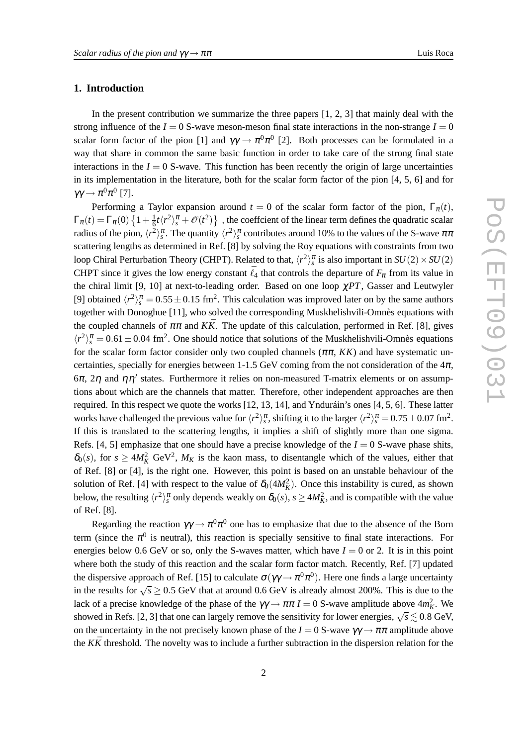## **1. Introduction**

In the present contribution we summarize the three papers  $[1, 2, 3]$  that mainly deal with the strong influence of the  $I = 0$  S-wave meson-meson final state interactions in the non-strange  $I = 0$ scalar form factor of the pion [1] and  $\gamma\gamma \to \pi^0 \pi^0$  [2]. Both processes can be formulated in a way that share in common the same basic function in order to take care of the strong final state interactions in the  $I = 0$  S-wave. This function has been recently the origin of large uncertainties in its implementation in the literature, both for the scalar form factor of the pion [4, 5, 6] and for  $\gamma\gamma \to \pi^0\pi^0$  [7].

Performing a Taylor expansion around  $t = 0$  of the scalar form factor of the pion,  $\Gamma_{\pi}(t)$ ,  $\Gamma_{\pi}(t) = \Gamma_{\pi}(0) \left\{ 1 + \frac{1}{6} \right\}$  $\frac{1}{6}t\langle r^2\rangle^{\pi}_s + \mathcal{O}(t^2)\}$ , the coeffcient of the linear term defines the quadratic scalar radius of the pion,  $\langle r^2 \rangle_s^{\pi}$ . The quantity  $\langle r^2 \rangle_s^{\pi}$  contributes around 10% to the values of the S-wave  $\pi\pi$ scattering lengths as determined in Ref. [8] by solving the Roy equations with constraints from two loop Chiral Perturbation Theory (CHPT). Related to that,  $\langle r^2 \rangle_s^{\pi}$  is also important in  $SU(2) \times SU(2)$ CHPT since it gives the low energy constant  $\bar{\ell}_4$  that controls the departure of  $F_\pi$  from its value in the chiral limit [9, 10] at next-to-leading order. Based on one loop χ*PT*, Gasser and Leutwyler [9] obtained  $\langle r^2 \rangle_s^{\pi} = 0.55 \pm 0.15$  fm<sup>2</sup>. This calculation was improved later on by the same authors together with Donoghue [11], who solved the corresponding Muskhelishvili-Omnès equations with the coupled channels of  $\pi \pi$  and  $K\bar{K}$ . The update of this calculation, performed in Ref. [8], gives  $\langle r^2 \rangle_s^{\pi} = 0.61 \pm 0.04$  fm<sup>2</sup>. One should notice that solutions of the Muskhelishvili-Omnès equations for the scalar form factor consider only two coupled channels  $(\pi \pi, KK)$  and have systematic uncertainties, specially for energies between 1-1.5 GeV coming from the not consideration of the  $4\pi$ , 6π, 2η and  $ηη'$  states. Furthermore it relies on non-measured T-matrix elements or on assumptions about which are the channels that matter. Therefore, other independent approaches are then required. In this respect we quote the works [12, 13, 14], and Ynduráin's ones [4, 5, 6]. These latter works have challenged the previous value for  $\langle r^2 \rangle_s^{\pi}$ , shifting it to the larger  $\langle r^2 \rangle_s^{\pi} = 0.75 \pm 0.07$  fm<sup>2</sup>. If this is translated to the scattering lengths, it implies a shift of slightly more than one sigma. Refs. [4, 5] emphasize that one should have a precise knowledge of the  $I = 0$  S-wave phase shits,  $\delta_0(s)$ , for  $s \ge 4M_K^2$  GeV<sup>2</sup>,  $M_K$  is the kaon mass, to disentangle which of the values, either that of Ref. [8] or [4], is the right one. However, this point is based on an unstable behaviour of the solution of Ref. [4] with respect to the value of  $\delta_0(4M_K^2)$ . Once this instability is cured, as shown below, the resulting  $\langle r^2 \rangle_s^{\pi}$  only depends weakly on  $\delta_0(s)$ ,  $s \ge 4M_K^2$ , and is compatible with the value of Ref. [8].

Regarding the reaction  $\gamma\gamma \to \pi^0\pi^0$  one has to emphasize that due to the absence of the Born term (since the  $\pi^0$  is neutral), this reaction is specially sensitive to final state interactions. For energies below 0.6 GeV or so, only the S-waves matter, which have  $I = 0$  or 2. It is in this point where both the study of this reaction and the scalar form factor match. Recently, Ref. [7] updated the dispersive approach of Ref. [15] to calculate  $\sigma(\gamma\gamma \to \pi^0\pi^0)$ . Here one finds a large uncertainty in the results for  $\sqrt{s} \ge 0.5$  GeV that at around 0.6 GeV is already almost 200%. This is due to the lack of a precise knowledge of the phase of the  $\gamma\gamma \to \pi\pi I = 0$  S-wave amplitude above  $4m_K^2$ . We showed in Refs. [2, 3] that one can largely remove the sensitivity for lower energies,  $\sqrt{s} \lesssim 0.8$  GeV, on the uncertainty in the not precisely known phase of the  $I = 0$  S-wave  $\gamma \gamma \rightarrow \pi \pi$  amplitude above the  $K\bar{K}$  threshold. The novelty was to include a further subtraction in the dispersion relation for the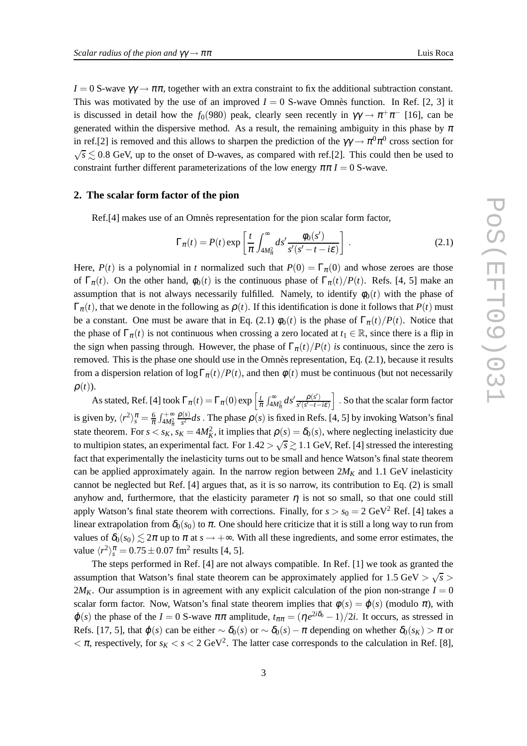$I = 0$  S-wave  $\gamma \gamma \rightarrow \pi \pi$ , together with an extra constraint to fix the additional subtraction constant. This was motivated by the use of an improved  $I = 0$  S-wave Omnès function. In Ref. [2, 3] it is discussed in detail how the  $f_0(980)$  peak, clearly seen recently in  $\gamma\gamma \to \pi^+\pi^-$  [16], can be generated within the dispersive method. As a result, the remaining ambiguity in this phase by  $\pi$ in ref.[2] is removed and this allows to sharpen the prediction of the  $\gamma\gamma \to \pi^0\pi^0$  cross section for  $\sqrt{s} \lesssim 0.8$  GeV, up to the onset of D-waves, as compared with ref.[2]. This could then be used to constraint further different parameterizations of the low energy  $\pi \pi I = 0$  S-wave.

## **2. The scalar form factor of the pion**

Ref.[4] makes use of an Omnès representation for the pion scalar form factor,

$$
\Gamma_{\pi}(t) = P(t) \exp\left[\frac{t}{\pi} \int_{4M_{\pi}^2}^{\infty} ds' \frac{\phi_0(s')}{s'(s'-t-i\varepsilon)}\right].
$$
\n(2.1)

Here,  $P(t)$  is a polynomial in *t* normalized such that  $P(0) = \Gamma_{\pi}(0)$  and whose zeroes are those of  $\Gamma_{\pi}(t)$ . On the other hand,  $\phi_0(t)$  is the continuous phase of  $\Gamma_{\pi}(t)/P(t)$ . Refs. [4, 5] make an assumption that is not always necessarily fulfilled. Namely, to identify  $\phi_0(t)$  with the phase of  $\Gamma_{\pi}(t)$ , that we denote in the following as  $\rho(t)$ . If this identification is done it follows that  $P(t)$  must be a constant. One must be aware that in Eq. (2.1)  $\phi_0(t)$  is the phase of  $\Gamma_\pi(t)/P(t)$ . Notice that the phase of  $\Gamma_{\pi}(t)$  is not continuous when crossing a zero located at  $t_1 \in \mathbb{R}$ , since there is a flip in the sign when passing through. However, the phase of  $\Gamma_{\pi}(t)/P(t)$  *is* continuous, since the zero is removed. This is the phase one should use in the Omnès representation, Eq. (2.1), because it results from a dispersion relation of  $\log \Gamma_{\pi}(t)/P(t)$ , and then  $\phi(t)$  must be continuous (but not necessarily  $\rho(t)$ ).

As stated, Ref. [4] took  $\Gamma_{\pi}(t) = \Gamma_{\pi}(0) \exp \left[ \frac{t}{\pi} \int_{4M_{\pi}^2}^{\infty} ds' \frac{\rho(s')}{s'(s'-t-1)} \right]$ *s* ′(*s* ′−*t*−*i*ε) i . So that the scalar form factor is given by,  $\langle r^2 \rangle_s^{\pi} = \frac{6}{\pi} \int_{4M_{\pi}^2}^{+\infty}$ ρ(*s*)  $\frac{f(s)}{s^2}$ *ds*. The phase  $\rho(s)$  is fixed in Refs. [4, 5] by invoking Watson's final state theorem. For  $s < s_K$ ,  $s_K = 4M_K^2$ , it implies that  $\rho(s) = \delta_0(s)$ , where neglecting inelasticity due to multipion states, an experimental fact. For  $1.42 > \sqrt{s} \gtrsim 1.1$  GeV, Ref. [4] stressed the interesting fact that experimentally the inelasticity turns out to be small and hence Watson's final state theorem can be applied approximately again. In the narrow region between  $2M_K$  and 1.1 GeV inelasticity cannot be neglected but Ref. [4] argues that, as it is so narrow, its contribution to Eq. (2) is small anyhow and, furthermore, that the elasticity parameter  $\eta$  is not so small, so that one could still apply Watson's final state theorem with corrections. Finally, for  $s > s_0 = 2 \text{ GeV}^2$  Ref. [4] takes a linear extrapolation from  $\delta_0(s_0)$  to  $\pi$ . One should here criticize that it is still a long way to run from values of  $\delta_0(s_0) \leq 2\pi$  up to  $\pi$  at  $s \to +\infty$ . With all these ingredients, and some error estimates, the value  $\langle r^2 \rangle_s^{\pi} = 0.75 \pm 0.07$  fm<sup>2</sup> results [4, 5].

The steps performed in Ref. [4] are not always compatible. In Ref. [1] we took as granted the assumption that Watson's final state theorem can be approximately applied for  $1.5 \text{ GeV} > \sqrt{s} >$  $2M_K$ . Our assumption is in agreement with any explicit calculation of the pion non-strange  $I = 0$ scalar form factor. Now, Watson's final state theorem implies that  $\phi(s) = \phi(s)$  (modulo  $\pi$ ), with  $\varphi(s)$  the phase of the *I* = 0 S-wave  $\pi\pi$  amplitude,  $t_{\pi\pi} = (\eta e^{2i\delta_0} - 1)/2i$ . It occurs, as stressed in Refs. [17, 5], that  $\varphi(s)$  can be either  $\sim \delta_0(s)$  or  $\sim \delta_0(s) - \pi$  depending on whether  $\delta_0(s_K) > \pi$  or  $< \pi$ , respectively, for  $s_K < s < 2$  GeV<sup>2</sup>. The latter case corresponds to the calculation in Ref. [8],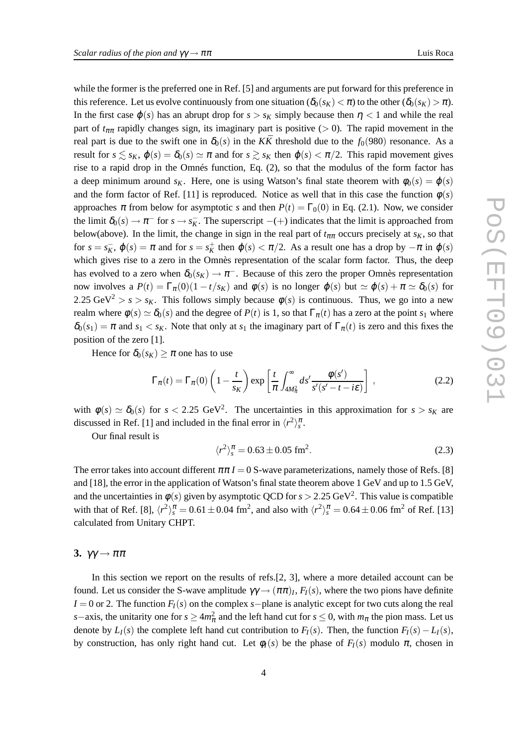while the former is the preferred one in Ref. [5] and arguments are put forward for this preference in this reference. Let us evolve continuously from one situation ( $\delta_0(s_K) < \pi$ ) to the other ( $\delta_0(s_K) > \pi$ ). In the first case  $\varphi(s)$  has an abrupt drop for  $s > s_K$  simply because then  $\eta < 1$  and while the real part of  $t_{\pi\pi}$  rapidly changes sign, its imaginary part is positive (> 0). The rapid movement in the real part is due to the swift one in  $\delta_0(s)$  in the *KK* threshold due to the  $f_0(980)$  resonance. As a result for  $s \leq s_K$ ,  $\varphi(s) = \delta_0(s) \simeq \pi$  and for  $s \geq s_K$  then  $\varphi(s) < \pi/2$ . This rapid movement gives rise to a rapid drop in the Omnés function, Eq. (2), so that the modulus of the form factor has a deep minimum around  $s_K$ . Here, one is using Watson's final state theorem with  $\phi_0(s) = \phi(s)$ and the form factor of Ref. [11] is reproduced. Notice as well that in this case the function  $\phi(s)$ approaches  $\pi$  from below for asymptotic *s* and then  $P(t) = \Gamma_0(0)$  in Eq. (2.1). Now, we consider the limit  $\delta_0(s) \to \pi^-$  for  $s \to s_K^-$ . The superscript  $-(+)$  indicates that the limit is approached from below(above). In the limit, the change in sign in the real part of  $t_{\pi\pi}$  occurs precisely at  $s_K$ , so that for  $s = s_K^-$ ,  $\varphi(s) = \pi$  and for  $s = s_K^+$  then  $\varphi(s) < \pi/2$ . As a result one has a drop by  $-\pi$  in  $\varphi(s)$ which gives rise to a zero in the Omnès representation of the scalar form factor. Thus, the deep has evolved to a zero when  $\delta_0(s_K) \to \pi^-$ . Because of this zero the proper Omnès representation now involves a  $P(t) = \Gamma_{\pi}(0)(1 - t/s_K)$  and  $\phi(s)$  is no longer  $\phi(s)$  but  $\simeq \phi(s) + \pi \simeq \delta_0(s)$  for 2.25 GeV<sup>2</sup> > *s* > *s*<sub>K</sub>. This follows simply because  $\phi(s)$  is continuous. Thus, we go into a new realm where  $\phi(s) \simeq \delta_0(s)$  and the degree of  $P(t)$  is 1, so that  $\Gamma_\pi(t)$  has a zero at the point  $s_1$  where  $\delta_0(s_1) = \pi$  and  $s_1 < s_K$ . Note that only at  $s_1$  the imaginary part of  $\Gamma_\pi(t)$  is zero and this fixes the position of the zero [1].

Hence for  $\delta_0(s_K) \geq \pi$  one has to use

$$
\Gamma_{\pi}(t) = \Gamma_{\pi}(0) \left( 1 - \frac{t}{s_K} \right) \exp \left[ \frac{t}{\pi} \int_{4M_{\pi}^2}^{\infty} ds' \frac{\phi(s')}{s'(s'-t-i\varepsilon)} \right] , \qquad (2.2)
$$

with  $\phi(s) \simeq \delta_0(s)$  for  $s < 2.25 \text{ GeV}^2$ . The uncertainties in this approximation for  $s > s_K$  are discussed in Ref. [1] and included in the final error in  $\langle r^2 \rangle_s^{\pi}$ .

Our final result is

$$
\langle r^2 \rangle_s^{\pi} = 0.63 \pm 0.05 \text{ fm}^2. \tag{2.3}
$$

The error takes into account different  $\pi \pi I = 0$  S-wave parameterizations, namely those of Refs. [8] and [18], the error in the application of Watson's final state theorem above 1 GeV and up to 1.5 GeV, and the uncertainties in  $\phi(s)$  given by asymptotic QCD for  $s > 2.25$  GeV<sup>2</sup>. This value is compatible with that of Ref. [8],  $\langle r^2 \rangle_s^{\pi} = 0.61 \pm 0.04$  fm<sup>2</sup>, and also with  $\langle r^2 \rangle_s^{\pi} = 0.64 \pm 0.06$  fm<sup>2</sup> of Ref. [13] calculated from Unitary CHPT.

**3.**  $\gamma\gamma \rightarrow \pi\pi$ 

In this section we report on the results of refs.[2, 3], where a more detailed account can be found. Let us consider the S-wave amplitude  $\gamma\gamma \to (\pi\pi)_I$ ,  $F_I(s)$ , where the two pions have definite *I* = 0 or 2. The function *F*<sub>*I*</sub>(*s*) on the complex *s*−plane is analytic except for two cuts along the real *s*−axis, the unitarity one for  $s \ge 4m_{\pi}^2$  and the left hand cut for  $s \le 0$ , with  $m_{\pi}$  the pion mass. Let us denote by  $L_I(s)$  the complete left hand cut contribution to  $F_I(s)$ . Then, the function  $F_I(s) - L_I(s)$ , by construction, has only right hand cut. Let  $\phi_I(s)$  be the phase of  $F_I(s)$  modulo  $\pi$ , chosen in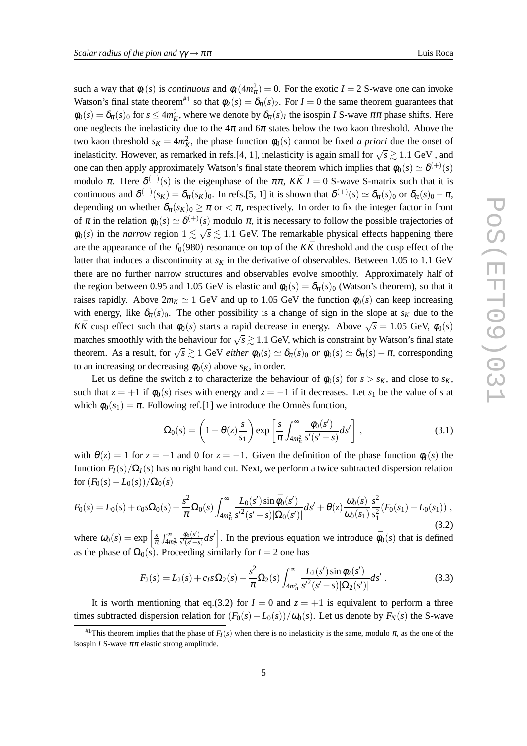such a way that  $\phi_I(s)$  is *continuous* and  $\phi_I(4m_\pi^2) = 0$ . For the exotic  $I = 2$  S-wave one can invoke Watson's final state theorem<sup>#1</sup> so that  $\phi_2(s) = \delta_\pi(s)$ . For  $I = 0$  the same theorem guarantees that  $\phi_0(s) = \delta_\pi(s)_0$  for  $s \le 4m_K^2$ , where we denote by  $\delta_\pi(s)_I$  the isospin *I* S-wave  $\pi\pi$  phase shifts. Here one neglects the inelasticity due to the  $4\pi$  and  $6\pi$  states below the two kaon threshold. Above the two kaon threshold  $s_K = 4m_K^2$ , the phase function  $\phi_0(s)$  cannot be fixed *a priori* due the onset of inelasticity. However, as remarked in refs.[4, 1], inelasticity is again small for  $\sqrt{s} \gtrsim 1.1$  GeV, and one can then apply approximately Watson's final state theorem which implies that  $\phi_0(s) \simeq \delta^{(+)}(s)$ modulo  $\pi$ . Here  $\delta^{(+)}(s)$  is the eigenphase of the  $\pi\pi$ ,  $K\bar{K} I = 0$  S-wave S-matrix such that it is continuous and  $\delta^{(+)}(s_K) = \delta_{\pi}(s_K)_0$ . In refs.[5, 1] it is shown that  $\delta^{(+)}(s) \simeq \delta_{\pi}(s)_0$  or  $\delta_{\pi}(s)_0 - \pi$ , depending on whether  $\delta_{\pi}(s_K)_{0} \geq \pi$  or  $\lt \pi$ , respectively. In order to fix the integer factor in front of  $\pi$  in the relation  $\phi_0(s) \simeq \delta^{(+)}(s)$  modulo  $\pi$ , it is necessary to follow the possible trajectories of  $\phi_0(s)$  in the *narrow* region  $1 \lesssim \sqrt{s} \lesssim 1.1$  GeV. The remarkable physical effects happening there are the appearance of the  $f_0(980)$  resonance on top of the  $K\bar{K}$  threshold and the cusp effect of the latter that induces a discontinuity at  $s<sub>K</sub>$  in the derivative of observables. Between 1.05 to 1.1 GeV there are no further narrow structures and observables evolve smoothly. Approximately half of the region between 0.95 and 1.05 GeV is elastic and  $\phi_0(s) = \delta_\pi(s)_0$  (Watson's theorem), so that it raises rapidly. Above  $2m<sub>K</sub> \simeq 1$  GeV and up to 1.05 GeV the function  $\phi_0(s)$  can keep increasing with energy, like  $\delta_{\pi}(s)_{0}$ . The other possibility is a change of sign in the slope at  $s_K$  due to the *KK* cusp effect such that  $\phi_0(s)$  starts a rapid decrease in energy. Above  $\sqrt{s} = 1.05$  GeV,  $\phi_0(s)$ matches smoothly with the behaviour for  $\sqrt{s} \gtrsim 1.1$  GeV, which is constraint by Watson's final state theorem. As a result, for  $\sqrt{s} \gtrsim 1$  GeV *either*  $\phi_0(s) \simeq \delta_\pi(s)$  *or*  $\phi_0(s) \simeq \delta_\pi(s) - \pi$ , corresponding to an increasing or decreasing  $\phi_0(s)$  above  $s_K$ , in order.

Let us define the switch *z* to characterize the behaviour of  $\phi_0(s)$  for  $s > s_K$ , and close to  $s_K$ , such that  $z = +1$  if  $\phi_0(s)$  rises with energy and  $z = -1$  if it decreases. Let  $s_1$  be the value of *s* at which  $\phi_0(s_1) = \pi$ . Following ref.[1] we introduce the Omnès function,

$$
\Omega_0(s) = \left(1 - \theta(z) \frac{s}{s_1}\right) \exp\left[\frac{s}{\pi} \int_{4m_\pi^2}^\infty \frac{\phi_0(s')}{s'(s'-s)} ds'\right],\tag{3.1}
$$

with  $\theta(z) = 1$  for  $z = +1$  and 0 for  $z = -1$ . Given the definition of the phase function  $\phi_I(s)$  the function  $F_I(s)/\Omega_I(s)$  has no right hand cut. Next, we perform a twice subtracted dispersion relation for  $(F_0(s) - L_0(s))/\Omega_0(s)$ 

$$
F_0(s) = L_0(s) + c_0 s \Omega_0(s) + \frac{s^2}{\pi} \Omega_0(s) \int_{4m_\pi^2}^\infty \frac{L_0(s') \sin \bar{\phi}_0(s')}{s'^2 (s'-s) |\Omega_0(s')|} ds' + \theta(z) \frac{\omega_0(s)}{\omega_0(s_1)} \frac{s^2}{s_1^2} (F_0(s_1) - L_0(s_1)),
$$
\n(3.2)

where  $\omega_0(s) = \exp\left[\frac{s}{\pi} \int_{4m_{\pi}^2}^{\infty}$  $\phi_0(s')$  $\left[\frac{\phi_0(s')}{s'(s'-s)}ds'\right]$ . In the previous equation we introduce  $\bar{\phi}_0(s)$  that is defined as the phase of  $\Omega_0(s)$ . Proceeding similarly for  $I = 2$  one has

$$
F_2(s) = L_2(s) + c_{I} s \Omega_2(s) + \frac{s^2}{\pi} \Omega_2(s) \int_{4m_{\pi}^2}^{\infty} \frac{L_2(s') \sin \phi_2(s')}{s'^2 (s'-s) |\Omega_2(s')|} ds'.
$$
 (3.3)

It is worth mentioning that eq.(3.2) for  $I = 0$  and  $z = +1$  is equivalent to perform a three times subtracted dispersion relation for  $(F_0(s) - L_0(s))/\omega_0(s)$ . Let us denote by  $F_N(s)$  the S-wave

<sup>&</sup>lt;sup>#1</sup>This theorem implies that the phase of  $F_I(s)$  when there is no inelasticity is the same, modulo  $\pi$ , as the one of the isospin *I* S-wave  $\pi\pi$  elastic strong amplitude.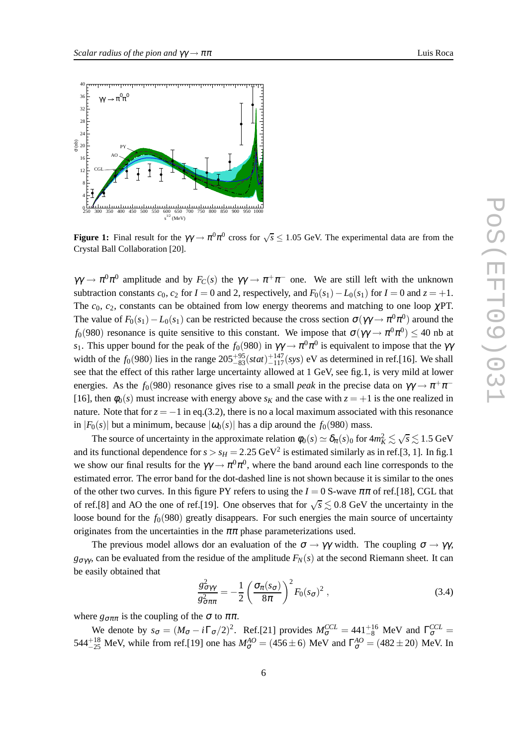$\overline{Q}$ 



250 300 350 400 450 500 550 600 650 700 750 800 850 900 950 1000  $s^{1/2}$  (MeV)

**Figure 1:** Final result for the  $\gamma\gamma \to \pi^0 \pi^0$  cross for  $\sqrt{s} \le 1.05$  GeV. The experimental data are from the Crystal Ball Collaboration [20].

 $\gamma\gamma \to \pi^0 \pi^0$  amplitude and by  $F_C(s)$  the  $\gamma\gamma \to \pi^+ \pi^-$  one. We are still left with the unknown subtraction constants  $c_0$ ,  $c_2$  for  $I = 0$  and 2, respectively, and  $F_0(s_1) - L_0(s_1)$  for  $I = 0$  and  $z = +1$ . The  $c_0$ ,  $c_2$ , constants can be obtained from low energy theorems and matching to one loop  $\chi$ PT. The value of  $F_0(s_1) - L_0(s_1)$  can be restricted because the cross section  $\sigma(\gamma\gamma \to \pi^0\pi^0)$  around the *f*<sub>0</sub>(980) resonance is quite sensitive to this constant. We impose that  $\sigma(\gamma\gamma \to \pi^0 \pi^0) \leq 40$  nb at *s*<sub>1</sub>. This upper bound for the peak of the  $f_0(980)$  in  $\gamma\gamma \to \pi^0 \pi^0$  is equivalent to impose that the  $\gamma\gamma$ width of the  $f_0(980)$  lies in the range  $205^{+95}_{-83}(stat)^{+147}_{-117}(sys)$  eV as determined in ref.[16]. We shall see that the effect of this rather large uncertainty allowed at 1 GeV, see fig.1, is very mild at lower energies. As the  $f_0(980)$  resonance gives rise to a small *peak* in the precise data on  $\gamma\gamma \to \pi^+\pi^-$ [16], then  $\phi_0(s)$  must increase with energy above  $s_K$  and the case with  $z = +1$  is the one realized in nature. Note that for  $z = -1$  in eq.(3.2), there is no a local maximum associated with this resonance in  $|F_0(s)|$  but a minimum, because  $|\omega_0(s)|$  has a dip around the  $f_0(980)$  mass.

The source of uncertainty in the approximate relation  $\phi_0(s) \simeq \delta_\pi(s)_0$  for  $4m_K^2 \lesssim \sqrt{s} \lesssim 1.5 \text{ GeV}$ and its functional dependence for  $s > s_H = 2.25 \text{ GeV}^2$  is estimated similarly as in ref.[3, 1]. In fig.1 we show our final results for the  $\gamma\gamma \to \pi^0 \pi^0$ , where the band around each line corresponds to the estimated error. The error band for the dot-dashed line is not shown because it is similar to the ones of the other two curves. In this figure PY refers to using the  $I = 0$  S-wave  $\pi\pi$  of ref.[18], CGL that of ref.[8] and AO the one of ref.[19]. One observes that for  $\sqrt{s} \lesssim 0.8$  GeV the uncertainty in the loose bound for the  $f_0(980)$  greatly disappears. For such energies the main source of uncertainty originates from the uncertainties in the  $\pi\pi$  phase parameterizations used.

The previous model allows dor an evaluation of the  $\sigma \to \gamma \gamma$  width. The coupling  $\sigma \to \gamma \gamma$ , *g*σγγ , can be evaluated from the residue of the amplitude *FN*(*s*) at the second Riemann sheet. It can be easily obtained that

$$
\frac{g_{\sigma\gamma\gamma}^2}{g_{\sigma\pi\pi}^2} = -\frac{1}{2} \left( \frac{\sigma_\pi(s_\sigma)}{8\pi} \right)^2 F_0(s_\sigma)^2 , \qquad (3.4)
$$

where  $g_{\sigma\pi\pi}$  is the coupling of the  $\sigma$  to  $\pi\pi$ .

We denote by  $s_{\sigma} = (M_{\sigma} - i\Gamma_{\sigma}/2)^2$ . Ref.[21] provides  $M_{\sigma}^{CCL} = 441^{+16}_{-8}$  MeV and  $\Gamma_{\sigma}^{CCL} =$ 544<sup>+18</sup> MeV, while from ref.[19] one has  $M_{\sigma}^{AO} = (456 \pm 6)$  MeV and  $\Gamma_{\sigma}^{AO} = (482 \pm 20)$  MeV. In